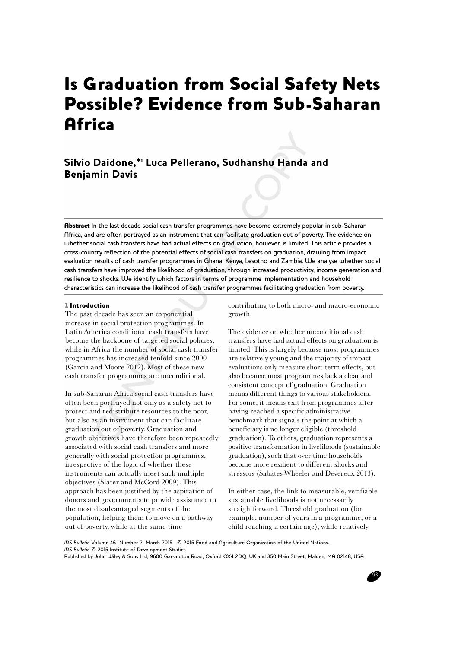# Is Graduation from Social Safety Nets Possible? Evidence from Sub-Saharan Africa

# Silvio Daidone,\*1 Luca Pellerano, Sudhanshu Handa and Benjamin Davis

Abstract In the last decade social cash transfer programmes have become extremely popular in sub-Saharan Africa, and are often portrayed as an instrument that can facilitate graduation out of poverty. The evidence on whether social cash transfers have had actual effects on graduation, however, is limited. This article provides a cross-country reflection of the potential effects of social cash transfers on graduation, drawing from impact evaluation results of cash transfer programmes in Ghana, Kenya, Lesotho and Zambia. We analyse whether social cash transfers have improved the likelihood of graduation, through increased productivity, income generation and resilience to shocks. We identify which factors in terms of programme implementation and household characteristics can increase the likelihood of cash transfer programmes facilitating graduation from poverty.

# 1 Introduction

The past decade has seen an exponential increase in social protection programmes. In Latin America conditional cash transfers have become the backbone of targeted social policies, while in Africa the number of social cash transfer programmes has increased tenfold since 2000 (Garcia and Moore 2012). Most of these new cash transfer programmes are unconditional.

In sub-Saharan Africa social cash transfers have often been portrayed not only as a safety net to protect and redistribute resources to the poor, but also as an instrument that can facilitate graduation out of poverty. Graduation and growth objectives have therefore been repeatedly associated with social cash transfers and more generally with social protection programmes, irrespective of the logic of whether these instruments can actually meet such multiple objectives (Slater and McCord 2009). This approach has been justified by the aspiration of donors and governments to provide assistance to the most disadvantaged segments of the population, helping them to move on a pathway out of poverty, while at the same time

contributing to both micro- and macro-economic growth.

The evidence on whether unconditional cash transfers have had actual effects on graduation is limited. This is largely because most programmes are relatively young and the majority of impact evaluations only measure short-term effects, but also because most programmes lack a clear and consistent concept of graduation. Graduation means different things to various stakeholders. For some, it means exit from programmes after having reached a specific administrative benchmark that signals the point at which a beneficiary is no longer eligible (threshold graduation). To others, graduation represents a positive transformation in livelihoods (sustainable graduation), such that over time households become more resilient to different shocks and stressors (Sabates-Wheeler and Devereux 2013).

In either case, the link to measurable, verifiable sustainable livelihoods is not necessarily straightforward. Threshold graduation (for example, number of years in a programme, or a child reaching a certain age), while relatively

*IDS Bulletin* Volume 46 Number 2 March 2015 © 2015 Food and Agriculture Organization of the United Nations. *IDS Bulletin* © 2015 Institute of Development Studies

Published by John Wiley & Sons Ltd, 9600 Garsington Road, Oxford OX4 2DQ, UK and 350 Main Street, Malden, MA 02148, USA

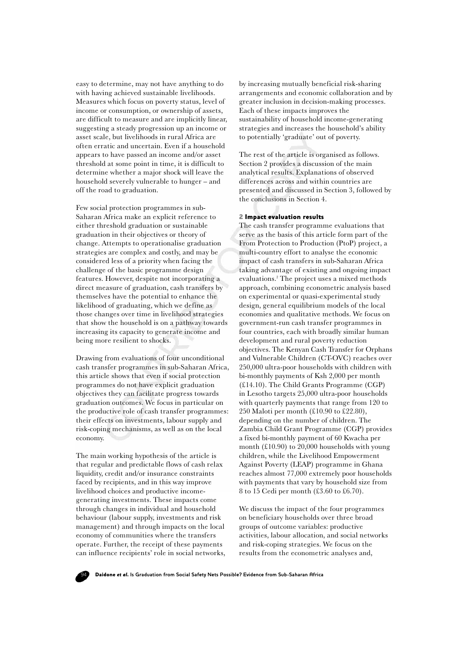easy to determine, may not have anything to do with having achieved sustainable livelihoods. Measures which focus on poverty status, level of income or consumption, or ownership of assets, are difficult to measure and are implicitly linear, suggesting a steady progression up an income or asset scale, but livelihoods in rural Africa are often erratic and uncertain. Even if a household appears to have passed an income and/or asset threshold at some point in time, it is difficult to determine whether a major shock will leave the household severely vulnerable to hunger – and off the road to graduation.

Few social protection programmes in sub-Saharan Africa make an explicit reference to either threshold graduation or sustainable graduation in their objectives or theory of change. Attempts to operationalise graduation strategies are complex and costly, and may be considered less of a priority when facing the challenge of the basic programme design features. However, despite not incorporating a direct measure of graduation, cash transfers by themselves have the potential to enhance the likelihood of graduating, which we define as those changes over time in livelihood strategies that show the household is on a pathway towards increasing its capacity to generate income and being more resilient to shocks.

Drawing from evaluations of four unconditional cash transfer programmes in sub-Saharan Africa, this article shows that even if social protection programmes do not have explicit graduation objectives they can facilitate progress towards graduation outcomes. We focus in particular on the productive role of cash transfer programmes: their effects on investments, labour supply and risk-coping mechanisms, as well as on the local economy.

The main working hypothesis of the article is that regular and predictable flows of cash relax liquidity, credit and/or insurance constraints faced by recipients, and in this way improve livelihood choices and productive incomegenerating investments. These impacts come through changes in individual and household behaviour (labour supply, investments and risk management) and through impacts on the local economy of communities where the transfers operate. Further, the receipt of these payments can influence recipients' role in social networks, by increasing mutually beneficial risk-sharing arrangements and economic collaboration and by greater inclusion in decision-making processes. Each of these impacts improves the sustainability of household income-generating strategies and increases the household's ability to potentially 'graduate' out of poverty.

The rest of the article is organised as follows. Section 2 provides a discussion of the main analytical results. Explanations of observed differences across and within countries are presented and discussed in Section 3, followed by the conclusions in Section 4.

## 2 Impact evaluation results

The cash transfer programme evaluations that serve as the basis of this article form part of the From Protection to Production (PtoP) project, a multi-country effort to analyse the economic impact of cash transfers in sub-Saharan Africa taking advantage of existing and ongoing impact evaluations.2 The project uses a mixed methods approach, combining econometric analysis based on experimental or quasi-experimental study design, general equilibrium models of the local economies and qualitative methods. We focus on government-run cash transfer programmes in four countries, each with broadly similar human development and rural poverty reduction objectives. The Kenyan Cash Transfer for Orphans and Vulnerable Children (CT-OVC) reaches over 250,000 ultra-poor households with children with bi-monthly payments of Ksh 2,000 per month (£14.10). The Child Grants Programme (CGP) in Lesotho targets 25,000 ultra-poor households with quarterly payments that range from 120 to 250 Maloti per month (£10.90 to £22.80), depending on the number of children. The Zambia Child Grant Programme (CGP) provides a fixed bi-monthly payment of 60 Kwacha per month (£10.90) to 20,000 households with young children, while the Livelihood Empowerment Against Poverty (LEAP) programme in Ghana reaches almost 77,000 extremely poor households with payments that vary by household size from 8 to 15 Cedi per month (£3.60 to £6.70).

We discuss the impact of the four programmes on beneficiary households over three broad groups of outcome variables: productive activities, labour allocation, and social networks and risk-coping strategies. We focus on the results from the econometric analyses and,

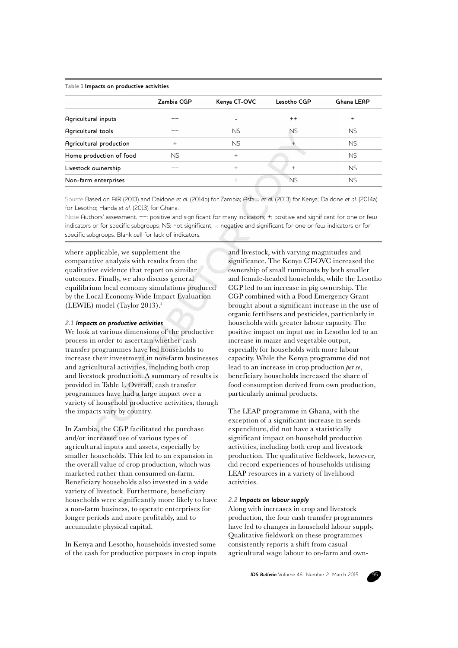#### **Table 1 Impacts on productive activities**

|                         | Zambia CGP     | Kenya CT-OVC | Lesotho CGP | Ghana LEAP     |
|-------------------------|----------------|--------------|-------------|----------------|
| Agricultural inputs     | $^{++}$        | -            | $^{++}$     | $^+$           |
| Agricultural tools      | $^{++}$        | NS.          | NS.         | N <sub>S</sub> |
| Agricultural production | $^{+}$         | NS.          |             | N <sub>S</sub> |
| Home production of food | N <sub>S</sub> | $^{+}$       |             | N <sub>S</sub> |
| Livestock ownership     | $^{++}$        | $^{+}$       | $^{+}$      | <b>NS</b>      |
| Non-farm enterprises    | $^{++}$        | $^{+}$       | <b>NS</b>   | N <sub>S</sub> |
|                         |                |              |             |                |

Source Based on AIR (2013) and Daidone *et al*. (2014b) for Zambia; Asfaw *et al*. (2013) for Kenya; Daidone *et al*. (2014a) for Lesotho; Handa *et al*. (2013) for Ghana.

Note Authors' assessment. ++: positive and significant for many indicators; +: positive and significant for one or few indicators or for specific subgroups; NS: not significant; -: negative and significant for one or few indicators or for specific subgroups. Blank cell for lack of indicators.

where applicable, we supplement the comparative analysis with results from the qualitative evidence that report on similar outcomes. Finally, we also discuss general equilibrium local economy simulations produced by the Local Economy-Wide Impact Evaluation (LEWIE) model (Taylor 2013).3

# *2.1 Impacts on productive activities*

We look at various dimensions of the productive process in order to ascertain whether cash transfer programmes have led households to increase their investment in non-farm businesses and agricultural activities, including both crop and livestock production. A summary of results is provided in Table 1. Overall, cash transfer programmes have had a large impact over a variety of household productive activities, though the impacts vary by country.

In Zambia, the CGP facilitated the purchase and/or increased use of various types of agricultural inputs and assets, especially by smaller households. This led to an expansion in the overall value of crop production, which was marketed rather than consumed on-farm. Beneficiary households also invested in a wide variety of livestock. Furthermore, beneficiary households were significantly more likely to have a non-farm business, to operate enterprises for longer periods and more profitably, and to accumulate physical capital.

In Kenya and Lesotho, households invested some of the cash for productive purposes in crop inputs and livestock, with varying magnitudes and significance. The Kenya CT-OVC increased the ownership of small ruminants by both smaller and female-headed households, while the Lesotho CGP led to an increase in pig ownership. The CGP combined with a Food Emergency Grant brought about a significant increase in the use of organic fertilisers and pesticides, particularly in households with greater labour capacity. The positive impact on input use in Lesotho led to an increase in maize and vegetable output, especially for households with more labour capacity. While the Kenya programme did not lead to an increase in crop production *per se*, beneficiary households increased the share of food consumption derived from own production, particularly animal products.

The LEAP programme in Ghana, with the exception of a significant increase in seeds expenditure, did not have a statistically significant impact on household productive activities, including both crop and livestock production. The qualitative fieldwork, however, did record experiences of households utilising LEAP resources in a variety of livelihood activities.

#### *2.2 Impacts on labour supply*

Along with increases in crop and livestock production, the four cash transfer programmes have led to changes in household labour supply. Qualitative fieldwork on these programmes consistently reports a shift from casual agricultural wage labour to on-farm and own-

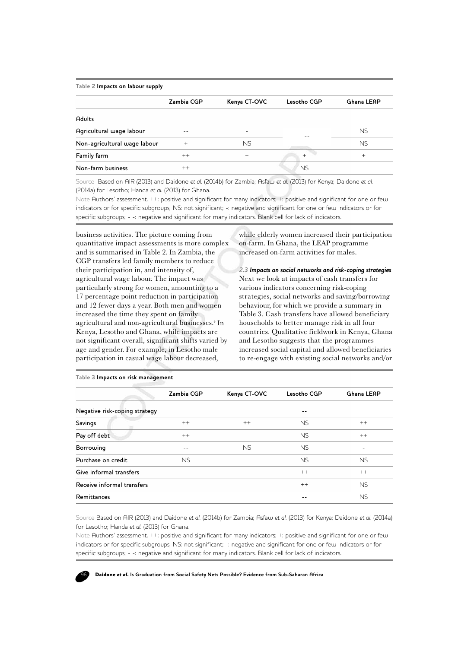#### **Table 2 Impacts on labour supply**

|                              | Zambia CGP | Kenya CT-OVC             | Lesotho CGP | Ghana LEAP |
|------------------------------|------------|--------------------------|-------------|------------|
| <b>Adults</b>                |            |                          |             |            |
| Agricultural wage labour     | $- -$      | $\overline{\phantom{a}}$ |             | <b>NS</b>  |
| Non-agricultural wage labour | $^{+}$     | <b>NS</b>                |             | NS.        |
| Family farm                  | $^{++}$    | $^{+}$                   | $^{+}$      | $\pm$      |
| Non-farm business            | $^{++}$    |                          | NS          |            |
|                              |            |                          |             |            |

Source Based on AIR (2013) and Daidone *et al*. (2014b) for Zambia; Asfaw *et al*. (2013) for Kenya; Daidone *et al*. (2014a) for Lesotho; Handa *et al*. (2013) for Ghana.

Note Authors' assessment. ++: positive and significant for many indicators; +: positive and significant for one or few indicators or for specific subgroups; NS: not significant; -: negative and significant for one or few indicators or for specific subgroups; - -: negative and significant for many indicators. Blank cell for lack of indicators.

business activities. The picture coming from quantitative impact assessments is more complex and is summarised in Table 2. In Zambia, the CGP transfers led family members to reduce their participation in, and intensity of, agricultural wage labour. The impact was particularly strong for women, amounting to a 17 percentage point reduction in participation and 12 fewer days a year. Both men and women increased the time they spent on family agricultural and non-agricultural businesses.<sup>4</sup> In Kenya, Lesotho and Ghana, while impacts are not significant overall, significant shifts varied by age and gender. For example, in Lesotho male participation in casual wage labour decreased,

while elderly women increased their participation on-farm. In Ghana, the LEAP programme increased on-farm activities for males.

*2.3 Impacts on social networks and risk-coping strategies* Next we look at impacts of cash transfers for various indicators concerning risk-coping strategies, social networks and saving/borrowing behaviour, for which we provide a summary in Table 3. Cash transfers have allowed beneficiary households to better manage risk in all four countries. Qualitative fieldwork in Kenya, Ghana and Lesotho suggests that the programmes increased social capital and allowed beneficiaries to re-engage with existing social networks and/or

| Table 5 impacts on risk management |            |              |             |                          |  |  |
|------------------------------------|------------|--------------|-------------|--------------------------|--|--|
|                                    | Zambia CGP | Kenya CT-OVC | Lesotho CGP | <b>Ghana LEAP</b>        |  |  |
| Negative risk-coping strategy      |            |              |             |                          |  |  |
| Savings                            | $^{++}$    | $^{++}$      | <b>NS</b>   | $^{++}$                  |  |  |
| Pay off debt                       | $^{++}$    |              | <b>NS</b>   | $^{++}$                  |  |  |
| Borrowing                          | --         | <b>NS</b>    | <b>NS</b>   | $\overline{\phantom{a}}$ |  |  |
| Purchase on credit                 | <b>NS</b>  |              | <b>NS</b>   | <b>NS</b>                |  |  |
| Give informal transfers            |            |              | $^{++}$     | $^{++}$                  |  |  |
| Receive informal transfers         |            |              | $^{++}$     | <b>NS</b>                |  |  |
| Remittances                        |            |              |             | <b>NS</b>                |  |  |
|                                    |            |              |             |                          |  |  |

**Table 3 Impacts on risk management**

Source Based on AIR (2013) and Daidone *et al*. (2014b) for Zambia; Asfaw *et al*. (2013) for Kenya; Daidone *et al*. (2014a) for Lesotho; Handa *et al*. (2013) for Ghana.

Note Authors' assessment. ++: positive and significant for many indicators; +: positive and significant for one or few indicators or for specific subgroups; NS: not significant; -: negative and significant for one or few indicators or for specific subgroups; - -: negative and significant for many indicators. Blank cell for lack of indicators.



96 Daidone *et al*. **Is Graduation from Social Safety Nets Possible? Evidence from Sub-Saharan Africa**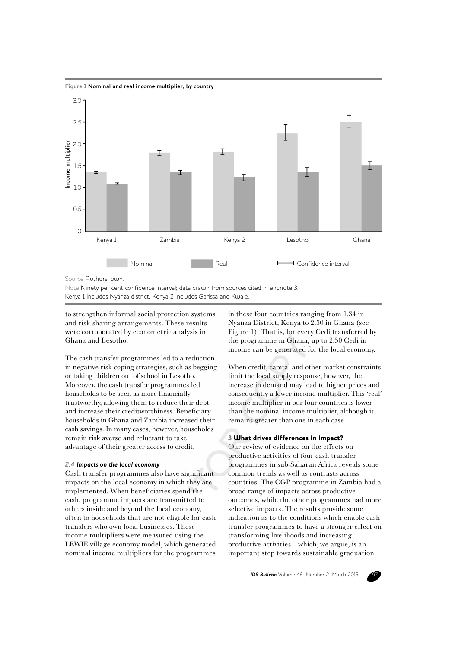

#### **Figure 1 Nominal and real income multiplier, by country**

Source Authors' own.

Note Ninety per cent confidence interval; data drawn from sources cited in endnote 3. Kenya 1 includes Nyanza district, Kenya 2 includes Garissa and Kwale.

to strengthen informal social protection systems and risk-sharing arrangements. These results were corroborated by econometric analysis in Ghana and Lesotho.

The cash transfer programmes led to a reduction in negative risk-coping strategies, such as begging or taking children out of school in Lesotho. Moreover, the cash transfer programmes led households to be seen as more financially trustworthy, allowing them to reduce their debt and increase their creditworthiness. Beneficiary households in Ghana and Zambia increased their cash savings. In many cases, however, households remain risk averse and reluctant to take advantage of their greater access to credit.

#### *2.4 Impacts on the local economy*

Cash transfer programmes also have significant impacts on the local economy in which they are implemented. When beneficiaries spend the cash, programme impacts are transmitted to others inside and beyond the local economy, often to households that are not eligible for cash transfers who own local businesses. These income multipliers were measured using the LEWIE village economy model, which generated nominal income multipliers for the programmes

in these four countries ranging from 1.34 in Nyanza District, Kenya to 2.50 in Ghana (see Figure 1). That is, for every Cedi transferred by the programme in Ghana, up to 2.50 Cedi in income can be generated for the local economy.

When credit, capital and other market constraints limit the local supply response, however, the increase in demand may lead to higher prices and consequently a lower income multiplier. This 'real' income multiplier in our four countries is lower than the nominal income multiplier, although it remains greater than one in each case.

#### 3 What drives differences in impact?

Our review of evidence on the effects on productive activities of four cash transfer programmes in sub-Saharan Africa reveals some common trends as well as contrasts across countries. The CGP programme in Zambia had a broad range of impacts across productive outcomes, while the other programmes had more selective impacts. The results provide some indication as to the conditions which enable cash transfer programmes to have a stronger effect on transforming livelihoods and increasing productive activities – which, we argue, is an important step towards sustainable graduation.

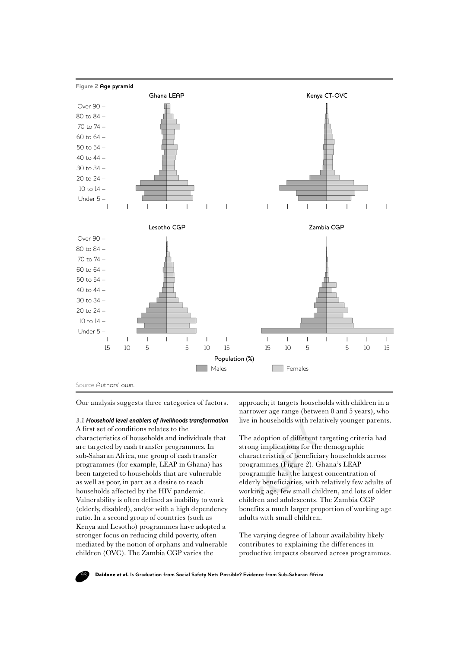

Source Authors' own.

Our analysis suggests three categories of factors.

# *3.1 Household level enablers of livelihoods transformation*

A first set of conditions relates to the characteristics of households and individuals that are targeted by cash transfer programmes. In sub-Saharan Africa, one group of cash transfer programmes (for example, LEAP in Ghana) has been targeted to households that are vulnerable as well as poor, in part as a desire to reach households affected by the HIV pandemic. Vulnerability is often defined as inability to work (elderly, disabled), and/or with a high dependency ratio. In a second group of countries (such as Kenya and Lesotho) programmes have adopted a stronger focus on reducing child poverty, often mediated by the notion of orphans and vulnerable children (OVC). The Zambia CGP varies the

approach; it targets households with children in a narrower age range (between 0 and 5 years), who live in households with relatively younger parents.

The adoption of different targeting criteria had strong implications for the demographic characteristics of beneficiary households across programmes (Figure 2). Ghana's LEAP programme has the largest concentration of elderly beneficiaries, with relatively few adults of working age, few small children, and lots of older children and adolescents. The Zambia CGP benefits a much larger proportion of working age adults with small children.

The varying degree of labour availability likely contributes to explaining the differences in productive impacts observed across programmes.

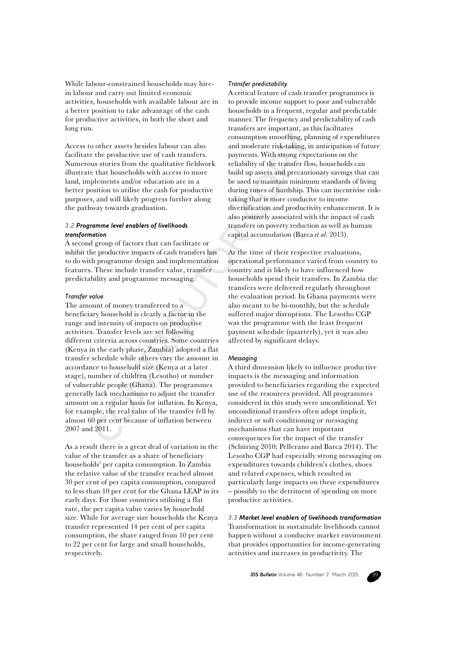While labour-constrained households may hirein labour and carry out limited economic activities, households with available labour are in a better position to take advantage of the cash for productive activities, in both the short and long run.

Access to other assets besides labour can also facilitate the productive use of cash transfers. Numerous stories from the qualitative fieldwork illustrate that households with access to more land, implements and/or education are in a better position to utilise the cash for productive purposes, and will likely progress further along the pathway towards graduation.

# *3.2 Programme level enablers of livelihoods transformation*

A second group of factors that can facilitate or inhibit the productive impacts of cash transfers has to do with programme design and implementation features. These include transfer value, transfer predictability and programme messaging.

# *Transfer value*

The amount of money transferred to a beneficiary household is clearly a factor in the range and intensity of impacts on productive activities. Transfer levels are set following different criteria across countries. Some countries (Kenya in the early phase, Zambia) adopted a flat transfer schedule while others vary the amount in accordance to household size (Kenya at a later stage), number of children (Lesotho) or number of vulnerable people (Ghana). The programmes generally lack mechanisms to adjust the transfer amount on a regular basis for inflation. In Kenya, for example, the real value of the transfer fell by almost 60 per cent because of inflation between 2007 and 2011.

As a result there is a great deal of variation in the value of the transfer as a share of beneficiary households' per capita consumption. In Zambia the relative value of the transfer reached almost 30 per cent of per capita consumption, compared to less than 10 per cent for the Ghana LEAP in its early days. For those countries utilising a flat rate, the per capita value varies by household size. While for average size households the Kenya transfer represented 14 per cent of per capita consumption, the share ranged from 10 per cent to 22 per cent for large and small households, respectively.

# *Transfer predictability*

A critical feature of cash transfer programmes is to provide income support to poor and vulnerable households in a frequent, regular and predictable manner. The frequency and predictability of cash transfers are important, as this facilitates consumption smoothing, planning of expenditures and moderate risk-taking, in anticipation of future payments. With strong expectations on the reliability of the transfer flow, households can build up assets and precautionary savings that can be used to maintain minimum standards of living during times of hardship. This can incentivise risktaking that is more conducive to income diversification and productivity enhancement. It is also positively associated with the impact of cash transfers on poverty reduction as well as human capital accumulation (Barca *et al.* 2013).

At the time of their respective evaluations, operational performance varied from country to country and is likely to have influenced how households spend their transfers. In Zambia the transfers were delivered regularly throughout the evaluation period. In Ghana payments were also meant to be bi-monthly, but the schedule suffered major disruptions. The Lesotho CGP was the programme with the least frequent payment schedule (quarterly), yet it was also affected by significant delays.

# *Messaging*

A third dimension likely to influence productive impacts is the messaging and information provided to beneficiaries regarding the expected use of the resources provided. All programmes considered in this study were unconditional. Yet unconditional transfers often adopt implicit, indirect or soft conditioning or messaging mechanisms that can have important consequences for the impact of the transfer (Schüring 2010; Pellerano and Barca 2014). The Lesotho CGP had especially strong messaging on expenditures towards children's clothes, shoes and related expenses, which resulted in particularly large impacts on these expenditures – possibly to the detriment of spending on more productive activities.

*3.3 Market level enablers of livelihoods transformation* Transformation in sustainable livelihoods cannot happen without a conducive market environment that provides opportunities for income-generating activities and increases in productivity. The

**IDS Bulletin** Volume 46 Number 2 March 2015

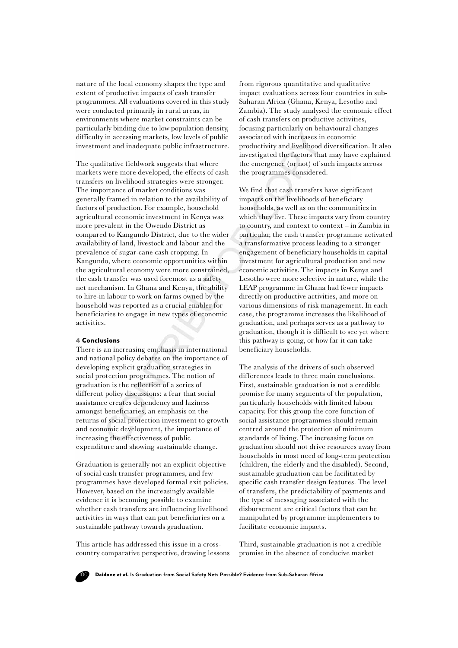nature of the local economy shapes the type and extent of productive impacts of cash transfer programmes. All evaluations covered in this study were conducted primarily in rural areas, in environments where market constraints can be particularly binding due to low population density, difficulty in accessing markets, low levels of public investment and inadequate public infrastructure.

The qualitative fieldwork suggests that where markets were more developed, the effects of cash transfers on livelihood strategies were stronger. The importance of market conditions was generally framed in relation to the availability of factors of production. For example, household agricultural economic investment in Kenya was more prevalent in the Owendo District as compared to Kangundo District, due to the wider availability of land, livestock and labour and the prevalence of sugar-cane cash cropping. In Kangundo, where economic opportunities within the agricultural economy were more constrained, the cash transfer was used foremost as a safety net mechanism. In Ghana and Kenya, the ability to hire-in labour to work on farms owned by the household was reported as a crucial enabler for beneficiaries to engage in new types of economic activities.

#### 4 Conclusions

There is an increasing emphasis in international and national policy debates on the importance of developing explicit graduation strategies in social protection programmes. The notion of graduation is the reflection of a series of different policy discussions: a fear that social assistance creates dependency and laziness amongst beneficiaries, an emphasis on the returns of social protection investment to growth and economic development, the importance of increasing the effectiveness of public expenditure and showing sustainable change.

Graduation is generally not an explicit objective of social cash transfer programmes, and few programmes have developed formal exit policies. However, based on the increasingly available evidence it is becoming possible to examine whether cash transfers are influencing livelihood activities in ways that can put beneficiaries on a sustainable pathway towards graduation.

This article has addressed this issue in a crosscountry comparative perspective, drawing lessons from rigorous quantitative and qualitative impact evaluations across four countries in sub-Saharan Africa (Ghana, Kenya, Lesotho and Zambia). The study analysed the economic effect of cash transfers on productive activities, focusing particularly on behavioural changes associated with increases in economic productivity and livelihood diversification. It also investigated the factors that may have explained the emergence (or not) of such impacts across the programmes considered.

We find that cash transfers have significant impacts on the livelihoods of beneficiary households, as well as on the communities in which they live. These impacts vary from country to country, and context to context – in Zambia in particular, the cash transfer programme activated a transformative process leading to a stronger engagement of beneficiary households in capital investment for agricultural production and new economic activities. The impacts in Kenya and Lesotho were more selective in nature, while the LEAP programme in Ghana had fewer impacts directly on productive activities, and more on various dimensions of risk management. In each case, the programme increases the likelihood of graduation, and perhaps serves as a pathway to graduation, though it is difficult to see yet where this pathway is going, or how far it can take beneficiary households.

The analysis of the drivers of such observed differences leads to three main conclusions. First, sustainable graduation is not a credible promise for many segments of the population, particularly households with limited labour capacity. For this group the core function of social assistance programmes should remain centred around the protection of minimum standards of living. The increasing focus on graduation should not drive resources away from households in most need of long-term protection (children, the elderly and the disabled). Second, sustainable graduation can be facilitated by specific cash transfer design features. The level of transfers, the predictability of payments and the type of messaging associated with the disbursement are critical factors that can be manipulated by programme implementers to facilitate economic impacts.

Third, sustainable graduation is not a credible promise in the absence of conducive market

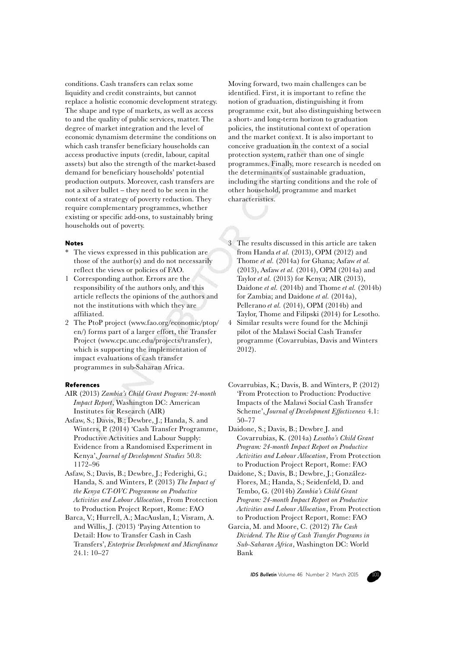conditions. Cash transfers can relax some liquidity and credit constraints, but cannot replace a holistic economic development strategy. The shape and type of markets, as well as access to and the quality of public services, matter. The degree of market integration and the level of economic dynamism determine the conditions on which cash transfer beneficiary households can access productive inputs (credit, labour, capital assets) but also the strength of the market-based demand for beneficiary households' potential production outputs. Moreover, cash transfers are not a silver bullet – they need to be seen in the context of a strategy of poverty reduction. They require complementary programmes, whether existing or specific add-ons, to sustainably bring households out of poverty.

#### Notes

- \* The views expressed in this publication are those of the author(s) and do not necessarily reflect the views or policies of FAO.
- 1 Corresponding author. Errors are the responsibility of the authors only, and this article reflects the opinions of the authors and not the institutions with which they are affiliated.
- 2 The PtoP project (www.fao.org/economic/ptop/ en/) forms part of a larger effort, the Transfer Project (www.cpc.unc.edu/projects/transfer), which is supporting the implementation of impact evaluations of cash transfer programmes in sub-Saharan Africa.

#### References

- AIR (2013) *Zambia's Child Grant Program: 24-month Impact Report*, Washington DC: American Institutes for Research (AIR)
- Asfaw, S.; Davis, B.; Dewbre, J.; Handa, S. and Winters, P. (2014) 'Cash Transfer Programme, Productive Activities and Labour Supply: Evidence from a Randomised Experiment in Kenya', *Journal of Development Studies* 50.8: 1172–96
- Asfaw, S.; Davis, B.; Dewbre, J.; Federighi, G.; Handa, S. and Winters, P. (2013) *The Impact of the Kenya CT-OVC Programme on Productive Activities and Labour Allocation*, From Protection to Production Project Report, Rome: FAO
- Barca, V.; Hurrell, A.; MacAuslan, I.; Visram, A. and Willis, J. (2013) 'Paying Attention to Detail: How to Transfer Cash in Cash Transfers', *Enterprise Development and Microfinance* 24.1: 10–27

Moving forward, two main challenges can be identified. First, it is important to refine the notion of graduation, distinguishing it from programme exit, but also distinguishing between a short- and long-term horizon to graduation policies, the institutional context of operation and the market context. It is also important to conceive graduation in the context of a social protection system, rather than one of single programmes. Finally, more research is needed on the determinants of sustainable graduation, including the starting conditions and the role of other household, programme and market characteristics.

- 3 The results discussed in this article are taken from Handa *et al.* (2013), OPM (2012) and Thome *et al.* (2014a) for Ghana; Asfaw *et al.* (2013), Asfaw *et al.* (2014), OPM (2014a) and Taylor *et al.* (2013) for Kenya; AIR (2013), Daidone *et al.* (2014b) and Thome *et al.* (2014b) for Zambia; and Daidone *et al.* (2014a), Pellerano *et al.* (2014), OPM (2014b) and Taylor, Thome and Filipski (2014) for Lesotho.
- 4 Similar results were found for the Mchinji pilot of the Malawi Social Cash Transfer programme (Covarrubias, Davis and Winters 2012).
- Covarrubias, K.; Davis, B. and Winters, P. (2012) 'From Protection to Production: Productive Impacts of the Malawi Social Cash Transfer Scheme', *Journal of Development Effectiveness* 4.1: 50–77
- Daidone, S.; Davis, B.; Dewbre J. and Covarrubias, K. (2014a) *Lesotho's Child Grant Program: 24-month Impact Report on Productive Activities and Labour Allocation*, From Protection to Production Project Report, Rome: FAO
- Daidone, S.; Davis, B.; Dewbre, J.; González-Flores, M.; Handa, S.; Seidenfeld, D. and Tembo, G. (2014b) *Zambia's Child Grant Program: 24-month Impact Report on Productive Activities and Labour Allocation*, From Protection to Production Project Report, Rome: FAO
- Garcia, M. and Moore, C. (2012) *The Cash Dividend. The Rise of Cash Transfer Programs in Sub-Saharan Africa*, Washington DC: World Bank

**IDS Bulletin** Volume 46 Number 2 March 2015